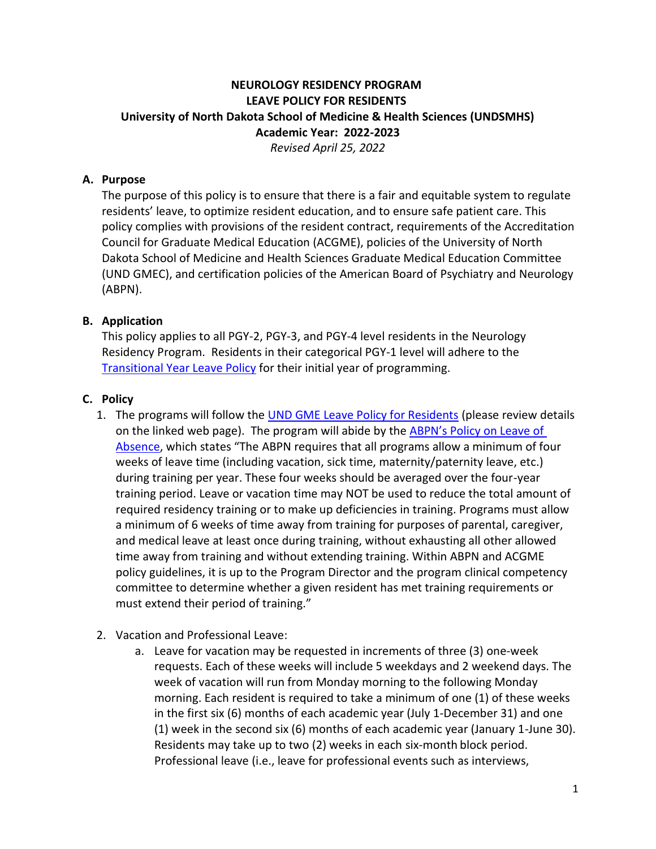## **NEUROLOGY RESIDENCY PROGRAM LEAVE POLICY FOR RESIDENTS University of North Dakota School of Medicine & Health Sciences (UNDSMHS) Academic Year: 2022-2023** *Revised April 25, 2022*

## **A. Purpose**

The purpose of this policy is to ensure that there is a fair and equitable system to regulate residents' leave, to optimize resident education, and to ensure safe patient care. This policy complies with provisions of the resident contract, requirements of the Accreditation Council for Graduate Medical Education (ACGME), policies of the University of North Dakota School of Medicine and Health Sciences Graduate Medical Education Committee (UND GMEC), and certification policies of the American Board of Psychiatry and Neurology (ABPN).

## **B. Application**

This policy applies to all PGY-2, PGY-3, and PGY-4 level residents in the Neurology Residency Program. Residents in their categorical PGY-1 level will adhere to the [Transitional Year Leave Policy](https://med.und.edu/policies/_files/docs/im-resident-leave-vacation-policy-2022.pdf) for their initial year of programming.

## **C. Policy**

- 1. The programs will follow the [UND GME Leave Policy for Residents](https://med.und.edu/policies/_files/docs/gme-leave.pdf) (please review details on the linked web page). The program will abide by the [ABPN's Policy](https://www.abpn.com/about/policies/) on Leave of [Absence](https://www.abpn.com/about/policies/), which states "The ABPN requires that all programs allow a minimum of four weeks of leave time (including vacation, sick time, maternity/paternity leave, etc.) during training per year. These four weeks should be averaged over the four-year training period. Leave or vacation time may NOT be used to reduce the total amount of required residency training or to make up deficiencies in training. Programs must allow a minimum of 6 weeks of time away from training for purposes of parental, caregiver, and medical leave at least once during training, without exhausting all other allowed time away from training and without extending training. Within ABPN and ACGME policy guidelines, it is up to the Program Director and the program clinical competency committee to determine whether a given resident has met training requirements or must extend their period of training."
- 2. Vacation and Professional Leave:
	- a. Leave for vacation may be requested in increments of three (3) one-week requests. Each of these weeks will include 5 weekdays and 2 weekend days. The week of vacation will run from Monday morning to the following Monday morning. Each resident is required to take a minimum of one (1) of these weeks in the first six (6) months of each academic year (July 1-December 31) and one (1) week in the second six (6) months of each academic year (January 1-June 30). Residents may take up to two (2) weeks in each six-month block period. Professional leave (i.e., leave for professional events such as interviews,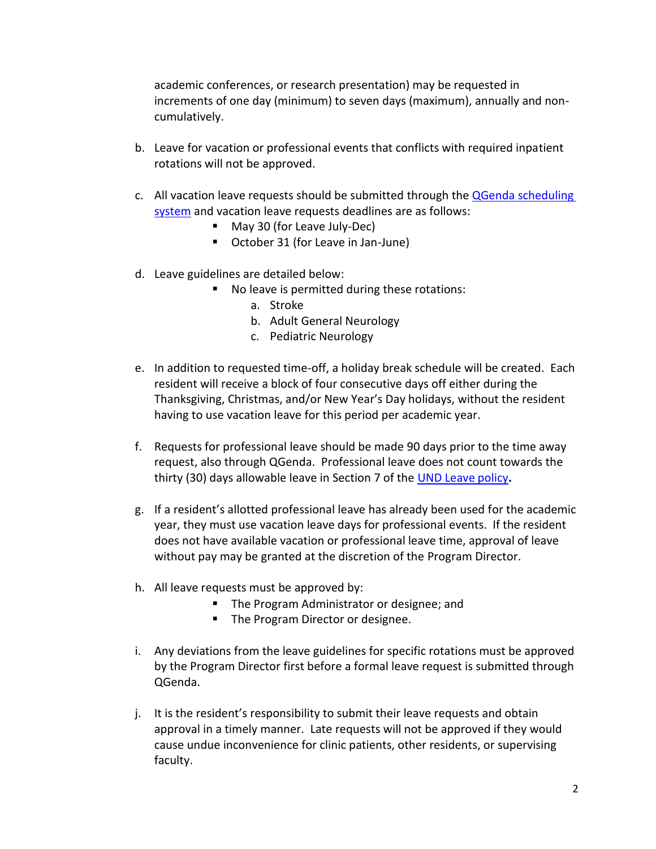academic conferences, or research presentation) may be requested in increments of one day (minimum) to seven days (maximum), annually and noncumulatively.

- b. Leave for vacation or professional events that conflicts with required inpatient rotations will not be approved.
- c. All vacation leave requests should be submitted through th[e QGenda scheduling](https://app.qgenda.com/dashboard)  [system](https://app.qgenda.com/dashboard) and vacation leave requests deadlines are as follows:
	- May 30 (for Leave July-Dec)
	- October 31 (for Leave in Jan-June)
- d. Leave guidelines are detailed below:
	- No leave is permitted during these rotations:
		- a. Stroke
		- b. Adult General Neurology
		- c. Pediatric Neurology
- e. In addition to requested time-off, a holiday break schedule will be created. Each resident will receive a block of four consecutive days off either during the Thanksgiving, Christmas, and/or New Year's Day holidays, without the resident having to use vacation leave for this period per academic year.
- f. Requests for professional leave should be made 90 days prior to the time away request, also through QGenda. Professional leave does not count towards the thirty (30) days allowable leave in Section 7 of the [UND Leave](https://med.und.edu/policies/_files/docs/gme-leave.pdf) policy**.**
- g. If a resident's allotted professional leave has already been used for the academic year, they must use vacation leave days for professional events. If the resident does not have available vacation or professional leave time, approval of leave without pay may be granted at the discretion of the Program Director.
- h. All leave requests must be approved by:
	- The Program Administrator or designee; and
	- The Program Director or designee.
- i. Any deviations from the leave guidelines for specific rotations must be approved by the Program Director first before a formal leave request is submitted through QGenda.
- j. It is the resident's responsibility to submit their leave requests and obtain approval in a timely manner. Late requests will not be approved if they would cause undue inconvenience for clinic patients, other residents, or supervising faculty.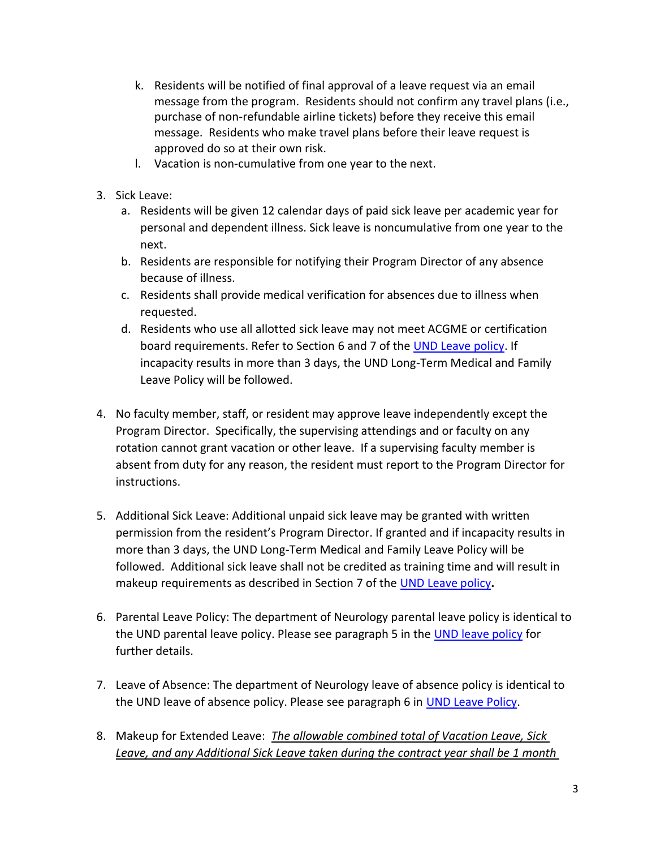- k. Residents will be notified of final approval of a leave request via an email message from the program. Residents should not confirm any travel plans (i.e., purchase of non-refundable airline tickets) before they receive this email message. Residents who make travel plans before their leave request is approved do so at their own risk.
- l. Vacation is non-cumulative from one year to the next.
- 3. Sick Leave:
	- a. Residents will be given 12 calendar days of paid sick leave per academic year for personal and dependent illness. Sick leave is noncumulative from one year to the next.
	- b. Residents are responsible for notifying their Program Director of any absence because of illness.
	- c. Residents shall provide medical verification for absences due to illness when requested.
	- d. Residents who use all allotted sick leave may not meet ACGME or certification board requirements. Refer to Section 6 and 7 of th[e UND Leave policy.](https://med.und.edu/policies/_files/docs/gme-leave.pdf) If incapacity results in more than 3 days, the UND Long-Term Medical and Family Leave Policy will be followed.
- 4. No faculty member, staff, or resident may approve leave independently except the Program Director. Specifically, the supervising attendings and or faculty on any rotation cannot grant vacation or other leave. If a supervising faculty member is absent from duty for any reason, the resident must report to the Program Director for instructions.
- 5. Additional Sick Leave: Additional unpaid sick leave may be granted with written permission from the resident's Program Director. If granted and if incapacity results in more than 3 days, the UND Long-Term Medical and Family Leave Policy will be followed. Additional sick leave shall not be credited as training time and will result in makeup requirements as described in Section 7 of the [UND Leave](https://med.und.edu/policies/_files/docs/gme-leave.pdf) policy**.**
- 6. Parental Leave Policy: The department of Neurology parental leave policy is identical to the UND parental leave policy. Please see paragraph 5 in the [UND leave policy](https://med.und.edu/policies/_files/docs/gme-leave.pdf) for further details.
- 7. Leave of Absence: The department of Neurology leave of absence policy is identical to the UND leave of absence policy. Please see paragraph 6 in [UND Leave Policy.](https://med.und.edu/policies/_files/docs/gme-leave.pdf)
- 8. Makeup for Extended Leave: *The allowable combined total of Vacation Leave, Sick Leave, and any Additional Sick Leave taken during the contract year shall be 1 month*